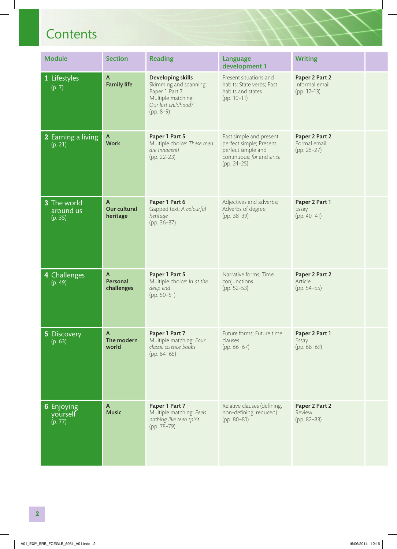$\overline{\phantom{a}}$ 

| <b>Module</b>                                                               | <b>Section</b>                           | <b>Reading</b>                                                                                                                   | Language<br>development 1                                                                                              | <b>Writing</b>                                  |  |
|-----------------------------------------------------------------------------|------------------------------------------|----------------------------------------------------------------------------------------------------------------------------------|------------------------------------------------------------------------------------------------------------------------|-------------------------------------------------|--|
| 1 Lifestyles<br>(p. 7)                                                      | $\mathsf{A}$<br><b>Family life</b>       | <b>Developing skills</b><br>Skimming and scanning;<br>Paper 1 Part 7<br>Multiple matching:<br>Our lost childhood?<br>$(pp. 8-9)$ | Present situations and<br>habits; State verbs; Past<br>habits and states<br>$(pp. 10-11)$                              | Paper 2 Part 2<br>Informal email<br>(pp. 12-13) |  |
| <b>2</b> Earning a living<br>(p. 21)                                        | $\mathsf{A}$<br><b>Work</b>              | Paper 1 Part 5<br>Multiple choice: These men<br>are Innocent!<br>(pp. 22-23)                                                     | Past simple and present<br>perfect simple; Present<br>perfect simple and<br>continuous; for and since<br>$(pp. 24-25)$ | Paper 2 Part 2<br>Formal email<br>$(pp. 26-27)$ |  |
| 3 The world<br>around us<br>(p. 35)                                         | $\mathsf{A}$<br>Our cultural<br>heritage | Paper 1 Part 6<br>Gapped text: A colourful<br>heritage<br>(pp. 36-37)                                                            | Adjectives and adverbs;<br>Adverbs of degree<br>$(pp. 38-39)$                                                          | Paper 2 Part 1<br>Essay<br>$(pp. 40-41)$        |  |
| 4 Challenges<br>(p. 49)                                                     | $\mathsf{A}$<br>Personal<br>challenges   | Paper 1 Part 5<br>Multiple choice: In at the<br>deep end<br>$(pp. 50-51)$                                                        | Narrative forms; Time<br>conjunctions<br>(pp. 52-53)                                                                   | Paper 2 Part 2<br>Article<br>(pp. 54-55)        |  |
| $\begin{array}{ c c }\n\hline\n5 \text{ Discovery} \\ (p. 63)\n\end{array}$ | $\mathsf{A}$<br>The modern<br>world      | Paper 1 Part 7<br>Multiple matching: Four<br>classic science books<br>$(pp. 64-65)$                                              | Future forms; Future time<br>clauses<br>$(pp. 66-67)$                                                                  | Paper 2 Part 1<br>Essay<br>$(pp. 68-69)$        |  |
| 6 Enjoying<br>yourself<br>(p. 77)                                           | $\mathsf{A}$<br>Music                    | Paper 1 Part 7<br>Multiple matching: Feels<br>nothing like teen spirit<br>(pp. 78-79)                                            | Relative clauses (defining,<br>non-defining, reduced)<br>$(pp. 80-81)$                                                 | Paper 2 Part 2<br>Review<br>(pp. 82-83)         |  |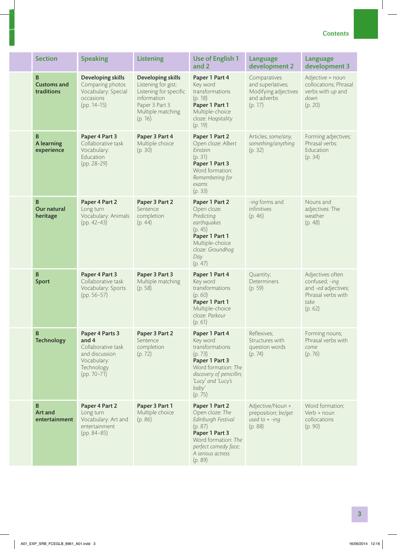| <b>Section</b>                                   | <b>Speaking</b>                                                                                                | <b>Listening</b>                                                                                                                    | <b>Use of English 1</b><br>and 2                                                                                                                                        | Language<br>development 2                                                           | <b>Language</b><br>development 3                                                                   |
|--------------------------------------------------|----------------------------------------------------------------------------------------------------------------|-------------------------------------------------------------------------------------------------------------------------------------|-------------------------------------------------------------------------------------------------------------------------------------------------------------------------|-------------------------------------------------------------------------------------|----------------------------------------------------------------------------------------------------|
| $\, {\bf B}$<br><b>Customs and</b><br>traditions | <b>Developing skills</b><br>Comparing photos<br>Vocabulary: Special<br>occasions<br>$(pp. 14-15)$              | Developing skills<br>Listening for gist;<br>Listening for specific<br>information<br>Paper 3 Part 3<br>Multiple matching<br>(p. 16) | Paper 1 Part 4<br>Key word<br>transformations<br>(p. 18)<br>Paper 1 Part 1<br>Multiple-choice<br>cloze: Hospitality<br>(p. 19)                                          | Comparatives<br>and superlatives;<br>Modifying adjectives<br>and adverbs<br>(p. 17) | Adjective + noun<br>collocations; Phrasal<br>verbs with up and<br>down<br>(p. 20)                  |
| B<br><b>A</b> learning<br>experience             | Paper 4 Part 3<br>Collaborative task<br>Vocabulary:<br>Education<br>$(pp. 28-29)$                              | Paper 3 Part 4<br>Multiple choice<br>(p. 30)                                                                                        | Paper 1 Part 2<br>Open cloze: Albert<br>Einstein<br>(p. 31)<br>Paper 1 Part 3<br>Word formation:<br>Remembering for<br>exams<br>(p. 33)                                 | Articles; some/any,<br>something/anything<br>(p. 32)                                | Forming adjectives;<br>Phrasal verbs:<br>Education<br>(p. 34)                                      |
| B<br>Our natural<br>heritage                     | Paper 4 Part 2<br>Long turn<br>Vocabulary: Animals<br>$(pp. 42-43)$                                            | Paper 3 Part 2<br>Sentence<br>completion<br>(p. 44)                                                                                 | Paper 1 Part 2<br>Open cloze:<br>Predicting<br>earthquakes<br>(p. 45)<br>Paper 1 Part 1<br>Multiple-choice<br>cloze: Groundhog<br>Day<br>(p. 47)                        | -ing forms and<br>infinitives<br>(p. 46)                                            | Nouns and<br>adjectives: The<br>weather<br>(p. 48)                                                 |
| $\, {\bf B}$<br><b>Sport</b>                     | Paper 4 Part 3<br>Collaborative task<br>Vocabulary: Sports<br>$(pp. 56-57)$                                    | Paper 3 Part 3<br>Multiple matching<br>(p. 58)                                                                                      | Paper 1 Part 4<br>Key word<br>transformations<br>(p. 60)<br>Paper 1 Part 1<br>Multiple-choice<br>cloze: Parkour<br>(p. 61)                                              | Quantity;<br><b>Determiners</b><br>(p. 59)                                          | Adjectives often<br>confused; -ing<br>and -ed adjectives;<br>Phrasal verbs with<br>take<br>(p. 62) |
| B<br><b>Technology</b>                           | Paper 4 Parts 3<br>and 4<br>Collaborative task<br>and discussion<br>Vocabulary:<br>Technology<br>$(pp. 70-71)$ | Paper 3 Part 2<br>Sentence<br>completion<br>(p. 72)                                                                                 | Paper 1 Part 4<br>Key word<br>transformations<br>(p. 73)<br>Paper 1 Part 3<br>Word formation: The<br>discovery of penicillin;<br>'Lucy' and 'Lucy's<br>baby'<br>(p. 75) | Reflexives;<br>Structures with<br>question words<br>(p. 74)                         | Forming nouns;<br>Phrasal verbs with<br>come<br>(p. 76)                                            |
| B<br>Art and<br>entertainment                    | Paper 4 Part 2<br>Long turn<br>Vocabulary: Art and<br>entertainment<br>$(pp. 84-85)$                           | Paper 3 Part 1<br>Multiple choice<br>(p. 86)                                                                                        | Paper 1 Part 2<br>Open cloze: The<br>Edinburgh Festival<br>(p. 87)<br>Paper 1 Part 3<br>Word formation: The<br>perfect comedy face;<br>A serious actress<br>(p. 89)     | Adjective/Noun +<br>preposition; be/get<br>used to $+ -$ ing<br>(p. 88)             | Word formation;<br>Verb + noun<br>collocations<br>(p. 90)                                          |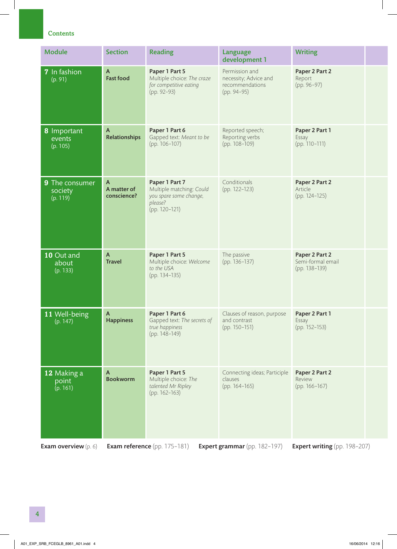| <b>Module</b>                            | <b>Section</b>                   | <b>Reading</b>                                                                                   | Language<br>development 1                                                 | <b>Writing</b>                                       |  |
|------------------------------------------|----------------------------------|--------------------------------------------------------------------------------------------------|---------------------------------------------------------------------------|------------------------------------------------------|--|
| 7 In fashion<br>(p. 91)                  | $\mathsf{A}$<br><b>Fast food</b> | Paper 1 Part 5<br>Multiple choice: The craze<br>for competitive eating<br>(pp. 92-93)            | Permission and<br>necessity; Advice and<br>recommendations<br>(pp. 94-95) | Paper 2 Part 2<br>Report<br>(pp. 96-97)              |  |
| <b>8</b> Important<br>events<br>(p. 105) | A<br><b>Relationships</b>        | Paper 1 Part 6<br>Gapped text: Meant to be<br>(pp. 106-107)                                      | Reported speech;<br>Reporting verbs<br>(pp. 108-109)                      | Paper 2 Part 1<br>Essay<br>(pp. 110-111)             |  |
| 9 The consumer<br>society<br>(p. 119)    | A<br>A matter of<br>conscience?  | Paper 1 Part 7<br>Multiple matching: Could<br>you spare some change,<br>please?<br>(pp. 120-121) | Conditionals<br>(pp. 122-123)                                             | Paper 2 Part 2<br>Article<br>(pp. 124-125)           |  |
| 10 Out and<br>about<br>(p. 133)          | $\mathsf{A}$<br><b>Travel</b>    | Paper 1 Part 5<br>Multiple choice: Welcome<br>to the USA<br>(pp. 134-135)                        | The passive<br>(pp. 136-137)                                              | Paper 2 Part 2<br>Semi-formal email<br>(pp. 138-139) |  |
| 11 Well-being<br>(p. 147)                | $\mathsf{A}$<br>Happiness        | Paper 1 Part 6<br>Gapped text: The secrets of<br>true happiness<br>(pp. 148-149)                 | Clauses of reason, purpose<br>and contrast<br>(pp. 150-151)               | Paper 2 Part 1<br>Essay<br>(pp. 152-153)             |  |
| 12 Making a<br>point<br>(p. 161)         | $\mathsf{A}$<br><b>Bookworm</b>  | Paper 1 Part 5<br>Multiple choice: The<br>talented Mr Ripley<br>(pp. 162-163)                    | Connecting ideas; Participle<br>clauses<br>(pp. 164-165)                  | Paper 2 Part 2<br>Review<br>(pp. 166-167)            |  |
| <b>Exam overview</b> $(p, 6)$            |                                  | <b>Exam reference</b> (pp. 175-181)                                                              | <b>Expert grammar</b> (pp. 182-197)                                       | <b>Expert writing</b> (pp. 198-207)                  |  |